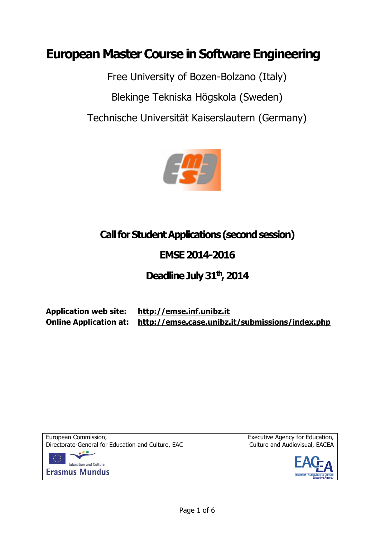# **European Master Course in Software Engineering**

Free University of Bozen-Bolzano (Italy) Blekinge Tekniska Högskola (Sweden) Technische Universität Kaiserslautern (Germany)



# **Call for Student Applications(second session)**

## **EMSE 2014-2016**

## **Deadline July31 th, 2014**

**Application web site: [http://emse.inf.unibz.it](http://emse.inf.unibz.it/)**

**Online Application at: http://emse.case.unibz.it/submissions/index.php**



Executive Agency for Education, Culture and Audiovisual, EACEA

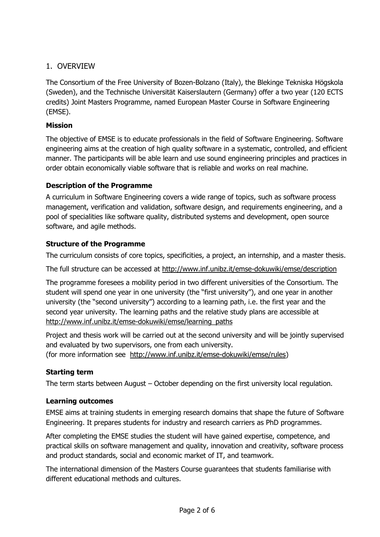## 1. OVERVIEW

The Consortium of the Free University of Bozen-Bolzano (Italy), the Blekinge Tekniska Högskola (Sweden), and the Technische Universität Kaiserslautern (Germany) offer a two year (120 ECTS credits) Joint Masters Programme, named European Master Course in Software Engineering (EMSE).

## **Mission**

The objective of EMSE is to educate professionals in the field of Software Engineering. Software engineering aims at the creation of high quality software in a systematic, controlled, and efficient manner. The participants will be able learn and use sound engineering principles and practices in order obtain economically viable software that is reliable and works on real machine.

#### **Description of the Programme**

A curriculum in Software Engineering covers a wide range of topics, such as software process management, verification and validation, software design, and requirements engineering, and a pool of specialities like software quality, distributed systems and development, open source software, and agile methods.

#### **Structure of the Programme**

The curriculum consists of core topics, specificities, a project, an internship, and a master thesis.

The full structure can be accessed at<http://www.inf.unibz.it/emse-dokuwiki/emse/description>

The programme foresees a mobility period in two different universities of the Consortium. The student will spend one year in one university (the "first university"), and one year in another university (the "second university") according to a learning path, i.e. the first year and the second year university. The learning paths and the relative study plans are accessible at [http://www.inf.unibz.it/emse-dokuwiki/emse/learning\\_paths](http://www.inf.unibz.it/emse-dokuwiki/emse/learning_paths)

Project and thesis work will be carried out at the second university and will be jointly supervised and evaluated by two supervisors, one from each university.

(for more information see [http://www.inf.unibz.it/emse-dokuwiki/emse/rules\)](http://www.inf.unibz.it/emse-dokuwiki/emse/rules)

## **Starting term**

The term starts between August – October depending on the first university local regulation.

#### **Learning outcomes**

EMSE aims at training students in emerging research domains that shape the future of Software Engineering. It prepares students for industry and research carriers as PhD programmes.

After completing the EMSE studies the student will have gained expertise, competence, and practical skills on software management and quality, innovation and creativity, software process and product standards, social and economic market of IT, and teamwork.

The international dimension of the Masters Course guarantees that students familiarise with different educational methods and cultures.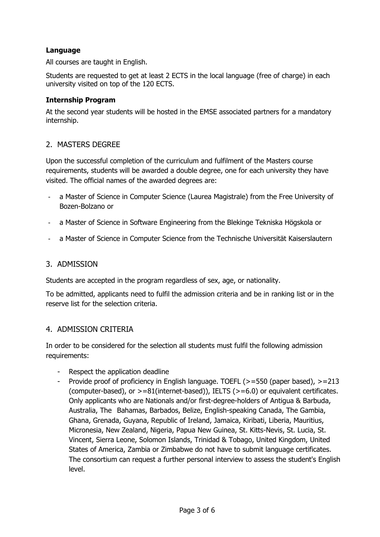### **Language**

All courses are taught in English.

Students are requested to get at least 2 ECTS in the local language (free of charge) in each university visited on top of the 120 ECTS.

#### **Internship Program**

At the second year students will be hosted in the EMSE associated partners for a mandatory internship.

#### 2. MASTERS DEGREE

Upon the successful completion of the curriculum and fulfilment of the Masters course requirements, students will be awarded a double degree, one for each university they have visited. The official names of the awarded degrees are:

- a Master of Science in Computer Science (Laurea Magistrale) from the Free University of Bozen-Bolzano or
- a Master of Science in Software Engineering from the Blekinge Tekniska Högskola or
- a Master of Science in Computer Science from the Technische Universität Kaiserslautern

#### 3. ADMISSION

Students are accepted in the program regardless of sex, age, or nationality.

To be admitted, applicants need to fulfil the admission criteria and be in ranking list or in the reserve list for the selection criteria.

#### 4. ADMISSION CRITERIA

In order to be considered for the selection all students must fulfil the following admission requirements:

- Respect the application deadline
- Provide proof of proficiency in English language. TOEFL ( $> = 550$  (paper based),  $> = 213$ (computer-based), or >=81(internet-based)), IELTS (>=6.0) or equivalent certificates. Only applicants who are Nationals and/or first-degree-holders of Antigua & Barbuda, Australia, The Bahamas, Barbados, Belize, English-speaking Canada, The Gambia, Ghana, Grenada, Guyana, Republic of Ireland, Jamaica, Kiribati, Liberia, Mauritius, Micronesia, New Zealand, Nigeria, Papua New Guinea, St. Kitts-Nevis, St. Lucia, St. Vincent, Sierra Leone, Solomon Islands, Trinidad & Tobago, United Kingdom, United States of America, Zambia or Zimbabwe do not have to submit language certificates. The consortium can request a further personal interview to assess the student's English level.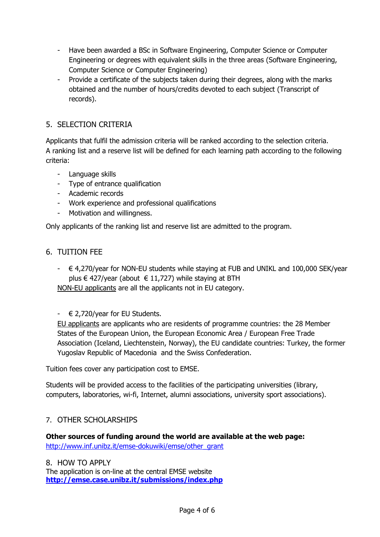- Have been awarded a BSc in Software Engineering, Computer Science or Computer Engineering or degrees with equivalent skills in the three areas (Software Engineering, Computer Science or Computer Engineering)
- Provide a certificate of the subjects taken during their degrees, along with the marks obtained and the number of hours/credits devoted to each subject (Transcript of records).

## 5. SELECTION CRITERIA

Applicants that fulfil the admission criteria will be ranked according to the selection criteria. A ranking list and a reserve list will be defined for each learning path according to the following criteria:

- Language skills
- Type of entrance qualification
- Academic records
- Work experience and professional qualifications
- Motivation and willingness.

Only applicants of the ranking list and reserve list are admitted to the program.

#### 6. TUITION FEE

 $\in$  4,270/year for NON-EU students while staying at FUB and UNIKL and 100,000 SEK/year plus € 427/year (about € 11,727) while staying at BTH

NON-EU applicants are all the applicants not in EU category.

 $\in$  2,720/year for EU Students.

EU applicants are applicants who are residents of programme countries: the 28 Member States of the European Union, the European Economic Area / European Free Trade Association (Iceland, Liechtenstein, Norway), the EU candidate countries: Turkey, the former Yugoslav Republic of Macedonia and the Swiss Confederation.

Tuition fees cover any participation cost to EMSE.

Students will be provided access to the facilities of the participating universities (library, computers, laboratories, wi-fi, Internet, alumni associations, university sport associations).

## 7. OTHER SCHOLARSHIPS

**Other sources of funding around the world are available at the web page:**  [http://www.inf.unibz.it/emse-dokuwiki/emse/other\\_grant](http://www.inf.unibz.it/emse-dokuwiki/emse/other_grant)

8. HOW TO APPLY The application is on-line at the central EMSE website **<http://emse.case.unibz.it/submissions/index.php>**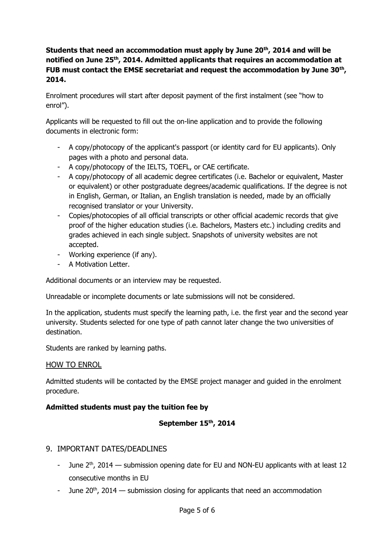## **Students that need an accommodation must apply by June 20th, 2014 and will be notified on June 25th, 2014. Admitted applicants that requires an accommodation at FUB must contact the EMSE secretariat and request the accommodation by June 30th , 2014.**

Enrolment procedures will start after deposit payment of the first instalment (see "how to enrol").

Applicants will be requested to fill out the on-line application and to provide the following documents in electronic form:

- A copy/photocopy of the applicant's passport (or identity card for EU applicants). Only pages with a photo and personal data.
- A copy/photocopy of the IELTS, TOEFL, or CAE certificate.
- A copy/photocopy of all academic degree certificates (i.e. Bachelor or equivalent, Master or equivalent) or other postgraduate degrees/academic qualifications. If the degree is not in English, German, or Italian, an English translation is needed, made by an officially recognised translator or your University.
- Copies/photocopies of all official transcripts or other official academic records that give proof of the higher education studies (i.e. Bachelors, Masters etc.) including credits and grades achieved in each single subject. Snapshots of university websites are not accepted.
- Working experience (if any).
- A Motivation Letter.

Additional documents or an interview may be requested.

Unreadable or incomplete documents or late submissions will not be considered.

In the application, students must specify the learning path, i.e. the first year and the second year university. Students selected for one type of path cannot later change the two universities of destination.

Students are ranked by learning paths.

## HOW TO ENROL

Admitted students will be contacted by the EMSE project manager and guided in the enrolment procedure.

## **Admitted students must pay the tuition fee by**

## **September 15 th, 2014**

## 9. IMPORTANT DATES/DEADLINES

- June  $2<sup>th</sup>$ , 2014 submission opening date for EU and NON-EU applicants with at least 12 consecutive months in EU
- June  $20^{th}$ , 2014 submission closing for applicants that need an accommodation